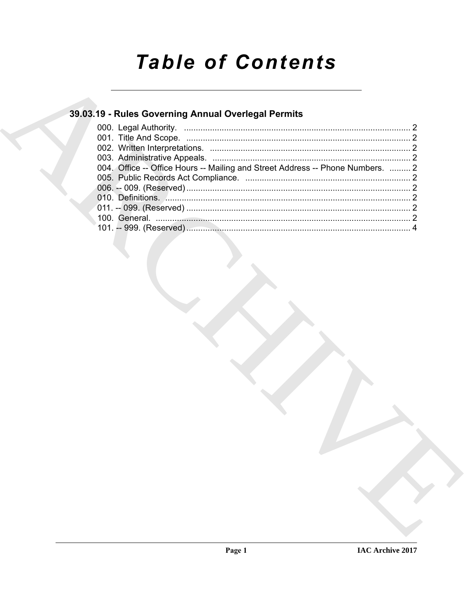# **Table of Contents**

### 39.03.19 - Rules Governing Annual Overlegal Permits

| 004. Office -- Office Hours -- Mailing and Street Address -- Phone Numbers.  2 |  |
|--------------------------------------------------------------------------------|--|
|                                                                                |  |
|                                                                                |  |
|                                                                                |  |
|                                                                                |  |
|                                                                                |  |
|                                                                                |  |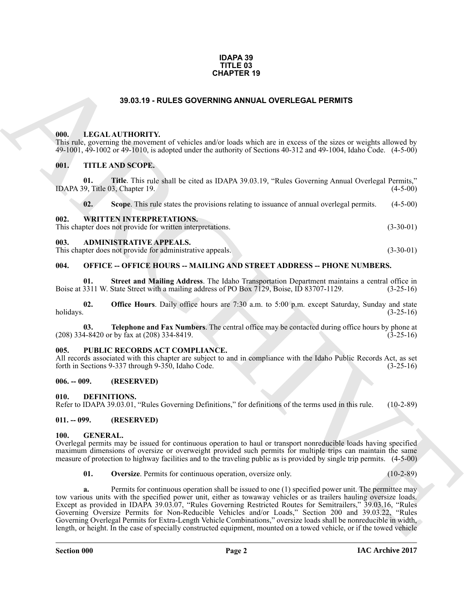#### **IDAPA 39 TITLE 03 CHAPTER 19**

#### **39.03.19 - RULES GOVERNING ANNUAL OVERLEGAL PERMITS**

#### <span id="page-1-1"></span><span id="page-1-0"></span>**000. LEGAL AUTHORITY.**

This rule, governing the movement of vehicles and/or loads which are in excess of the sizes or weights allowed by 49-1001, 49-1002 or 49-1010, is adopted under the authority of Sections 40-312 and 49-1004, Idaho Code. (4-5-00)

#### <span id="page-1-2"></span>**001. TITLE AND SCOPE.**

**01. Title**. This rule shall be cited as IDAPA 39.03.19, "Rules Governing Annual Overlegal Permits," IDAPA 39, Title 03, Chapter 19. (4-5-00)

**02.** Scope. This rule states the provisions relating to issuance of annual overlegal permits. (4-5-00)

<span id="page-1-3"></span>

| 002. | <b>WRITTEN INTERPRETATIONS.</b>                            |             |
|------|------------------------------------------------------------|-------------|
|      | This chapter does not provide for written interpretations. | $(3-30-01)$ |

#### <span id="page-1-4"></span>**003. ADMINISTRATIVE APPEALS.**

This chapter does not provide for administrative appeals. (3-30-01)

#### <span id="page-1-5"></span>**004. OFFICE -- OFFICE HOURS -- MAILING AND STREET ADDRESS -- PHONE NUMBERS.**

**01.** Street and Mailing Address. The Idaho Transportation Department maintains a central office in 3311 W. State Street with a mailing address of PO Box 7129, Boise, ID 83707-1129. (3-25-16) Boise at 3311 W. State Street with a mailing address of PO Box 7129, Boise, ID 83707-1129.

**02. Office Hours**. Daily office hours are 7:30 a.m. to 5:00 p.m. except Saturday, Sunday and state holidays. (3-25-16) holidays.  $(3-25-16)$ 

**03. Telephone and Fax Numbers**. The central office may be contacted during office hours by phone at (208) 334-8420 or by fax at (208) 334-8419. (3-25-16)

#### <span id="page-1-6"></span>**005. PUBLIC RECORDS ACT COMPLIANCE.**

All records associated with this chapter are subject to and in compliance with the Idaho Public Records Act, as set forth in Sections 9-337 through 9-350, Idaho Code. (3-25-16)

#### <span id="page-1-7"></span>**006. -- 009. (RESERVED)**

<span id="page-1-11"></span><span id="page-1-8"></span>**010. DEFINITIONS.**

Refer to IDAPA 39.03.01, "Rules Governing Definitions," for definitions of the terms used in this rule. (10-2-89)

#### <span id="page-1-9"></span>**011. -- 099. (RESERVED)**

#### <span id="page-1-12"></span><span id="page-1-10"></span>**100. GENERAL.**

Overlegal permits may be issued for continuous operation to haul or transport nonreducible loads having specified maximum dimensions of oversize or overweight provided such permits for multiple trips can maintain the same measure of protection to highway facilities and to the traveling public as is provided by single trip permits. (4-5-00)

<span id="page-1-13"></span>**01.** Oversize. Permits for continuous operation, oversize only. (10-2-89)

**39.03.19 - RULES OVERVING ANNUAL OVERLEGAL PERMITS**<br> **BRACHIVENTY:**<br> **CALCATIONITY:**<br> **CALCATIONITY:**<br> **CALCATIONITY:**<br> **CALCATIONITY:**<br> **CALCATIONITY:**<br> **CALCATIONITY:**<br> **CALCATIONITY:**<br> **CALCATIONITY:**<br> **CALCATIONITY: a.** Permits for continuous operation shall be issued to one (1) specified power unit. The permittee may tow various units with the specified power unit, either as towaway vehicles or as trailers hauling oversize loads. Except as provided in IDAPA 39.03.07, "Rules Governing Restricted Routes for Semitrailers," 39.03.16, "Rules Governing Oversize Permits for Non-Reducible Vehicles and/or Loads," Section 200 and 39.03.22, "Rules Governing Overlegal Permits for Extra-Length Vehicle Combinations," oversize loads shall be nonreducible in width, length, or height. In the case of specially constructed equipment, mounted on a towed vehicle, or if the towed vehicle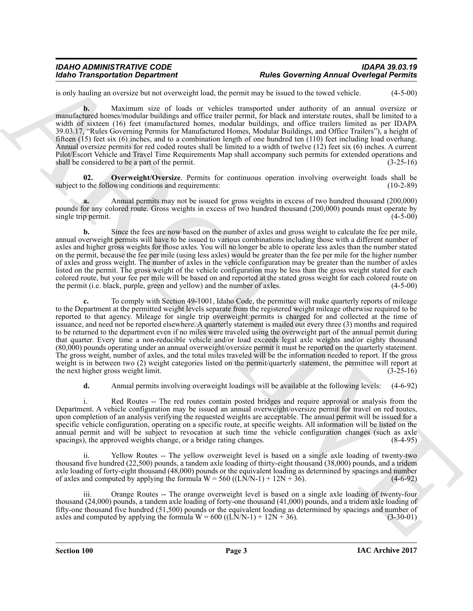### *IDAHO ADMINISTRATIVE CODE IDAPA 39.03.19 Idaho Transportation Department Rules Governing Annual Overlegal Permits*

is only hauling an oversize but not overweight load, the permit may be issued to the towed vehicle. (4-5-00)

**b.** Maximum size of loads or vehicles transported under authority of an annual oversize or manufactured homes/modular buildings and office trailer permit, for black and interstate routes, shall be limited to a width of sixteen (16) feet (manufactured homes, modular buildings, and office trailers limited as per IDAPA 39.03.17, "Rules Governing Permits for Manufactured Homes, Modular Buildings, and Office Trailers"), a height of fifteen (15) feet six (6) inches, and to a combination length of one hundred ten (110) feet including load overhang. Annual oversize permits for red coded routes shall be limited to a width of twelve (12) feet six (6) inches. A current Pilot/Escort Vehicle and Travel Time Requirements Map shall accompany such permits for extended operations and shall be considered to be a part of the permit. (3-25-16)

<span id="page-2-0"></span>**02.** Overweight/Oversize. Permits for continuous operation involving overweight loads shall be to the following conditions and requirements: (10-2-89) subject to the following conditions and requirements:

**a.** Annual permits may not be issued for gross weights in excess of two hundred thousand (200,000) pounds for any colored route. Gross weights in excess of two hundred thousand (200,000) pounds must operate by single trip permit. single trip permit.

**b.** Since the fees are now based on the number of axles and gross weight to calculate the fee per mile, annual overweight permits will have to be issued to various combinations including those with a different number of axles and higher gross weights for those axles. You will no longer be able to operate less axles than the number stated on the permit, because the fee per mile (using less axles) would be greater than the fee per mile for the higher number of axles and gross weight. The number of axles in the vehicle configuration may be greater than the number of axles listed on the permit. The gross weight of the vehicle configuration may be less than the gross weight stated for each colored route, but your fee per mile will be based on and reported at the stated gross weight for each colored route on the permit (i.e. black, purple, green and vellow) and the number of axles. the permit (i.e. black, purple, green and yellow) and the number of axles.

Roofin Transportation Dependence of the space of the language density and Developed Properties to the space of the space of the space of the space of the space of the space of the space of the space of the space of the sp **c.** To comply with Section 49-1001, Idaho Code, the permittee will make quarterly reports of mileage to the Department at the permitted weight levels separate from the registered weight mileage otherwise required to be reported to that agency. Mileage for single trip overweight permits is charged for and collected at the time of issuance, and need not be reported elsewhere. A quarterly statement is mailed out every three (3) months and required to be returned to the department even if no miles were traveled using the overweight part of the annual permit during that quarter. Every time a non-reducible vehicle and/or load exceeds legal axle weights and/or eighty thousand (80,000) pounds operating under an annual overweight/oversize permit it must be reported on the quarterly statement. The gross weight, number of axles, and the total miles traveled will be the information needed to report. If the gross weight is in between two (2) weight categories listed on the permit/quarterly statement, the permittee will report at the next higher gross weight limit. (3-25-16) the next higher gross weight limit.

**d.** Annual permits involving overweight loadings will be available at the following levels: (4-6-92)

i. Red Routes -- The red routes contain posted bridges and require approval or analysis from the Department. A vehicle configuration may be issued an annual overweight/oversize permit for travel on red routes, upon completion of an analysis verifying the requested weights are acceptable. The annual permit will be issued for a specific vehicle configuration, operating on a specific route, at specific weights. All information will be listed on the annual permit and will be subject to revocation at such time the vehicle configuration changes (such as axle spacings), the approved weights change, or a bridge rating changes. (8-4-95) spacings), the approved weights change, or a bridge rating changes.

Yellow Routes -- The yellow overweight level is based on a single axle loading of twenty-two thousand five hundred (22,500) pounds, a tandem axle loading of thirty-eight thousand (38,000) pounds, and a tridem axle loading of forty-eight thousand (48,000) pounds or the equivalent loading as determined by spacings and number<br>of axles and computed by applying the formula  $W = 560$  ((LN/N-1) + 12N + 36). (4-6-92) of axles and computed by applying the formula  $W = 560 ((L\hat{N}/N-1) + 12N + 36)$ .

iii. Orange Routes -- The orange overweight level is based on a single axle loading of twenty-four thousand (24,000) pounds, a tandem axle loading of forty-one thousand (41,000) pounds, and a tridem axle loading of fifty-one thousand five hundred (51,500) pounds or the equivalent loading as determined by spacings and number of axles and computed by applying the formula  $W = 600$  ((LN/N-1) + 12N + 36). (3-30-01) axles and computed by applying the formula  $W = 600$  ((LN/N-1) + 12N + 36).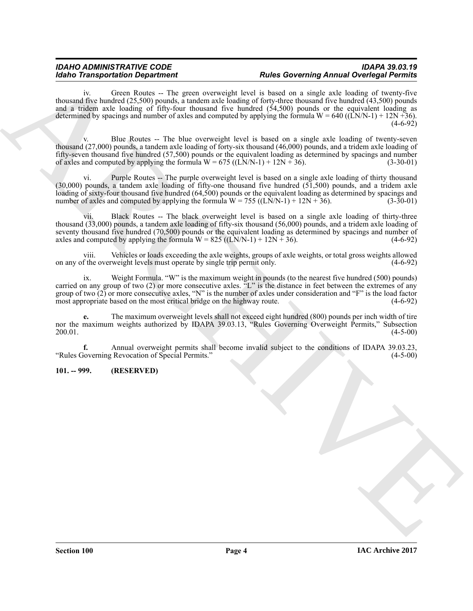#### *IDAHO ADMINISTRATIVE CODE IDAPA 39.03.19 Rules Governing Annual Overlegal Permits*

Model Transportation Dependent of the state of the state of the convention of the control of the state of the state of the state of the state of the state of the state of the state of the state of the state of the state o Green Routes -- The green overweight level is based on a single axle loading of twenty-five thousand five hundred (25,500) pounds, a tandem axle loading of forty-three thousand five hundred (43,500) pounds and a tridem axle loading of fifty-four thousand five hundred (54,500) pounds or the equivalent loading as determined by spacings and number of axles and computed by applying the formula  $W = 640$  ((LN/N-1) + 12N +36).  $(4-6-92)$ 

Blue Routes -- The blue overweight level is based on a single axle loading of twenty-seven thousand (27,000) pounds, a tandem axle loading of forty-six thousand (46,000) pounds, and a tridem axle loading of fifty-seven thousand five hundred (57,500) pounds or the equivalent loading as determined by spacings and number of axles and computed by applying the formula  $W = 675 ((LN/N-1) + 12N + 36)$ . (3-30-01)

vi. Purple Routes -- The purple overweight level is based on a single axle loading of thirty thousand (30,000) pounds, a tandem axle loading of fifty-one thousand five hundred (51,500) pounds, and a tridem axle loading of sixty-four thousand five hundred (64,500) pounds or the equivalent loading as determined by spacings and number of axles and computed by applying the formula  $W = 755 ((LN/N-1) + 12N + 36)$ . (3-30-01)

vii. Black Routes -- The black overweight level is based on a single axle loading of thirty-three thousand (33,000) pounds, a tandem axle loading of fifty-six thousand (56,000) pounds, and a tridem axle loading of seventy thousand five hundred (70,500) pounds or the equivalent loading as determined by spacings and number of axles and computed by applying the formula  $W = 825 ((LN/N-1) + 12N + 36)$ . (4-6-92) axles and computed by applying the formula  $W = 825 ((LN/N-1) + 12N + 36)$ .

viii. Vehicles or loads exceeding the axle weights, groups of axle weights, or total gross weights allowed on any of the overweight levels must operate by single trip permit only.

ix. Weight Formula. "W" is the maximum weight in pounds (to the nearest five hundred (500) pounds) carried on any group of two (2) or more consecutive axles. "L" is the distance in feet between the extremes of any group of two  $(2)$  or more consecutive axles, "N" is the number of axles under consideration and "F" is the load factor most appropriate based on the most critical bridge on the highway route.  $(4-6-92)$ most appropriate based on the most critical bridge on the highway route.

**e.** The maximum overweight levels shall not exceed eight hundred (800) pounds per inch width of tire nor the maximum weights authorized by IDAPA 39.03.13, "Rules Governing Overweight Permits," Subsection (4-5-00)  $200.01.$  (4-5-00)

**f.** Annual overweight permits shall become invalid subject to the conditions of IDAPA 39.03.23, hoverning Revocation of Special Permits." (4-5-00) "Rules Governing Revocation of Special Permits."

#### <span id="page-3-0"></span>**101. -- 999. (RESERVED)**